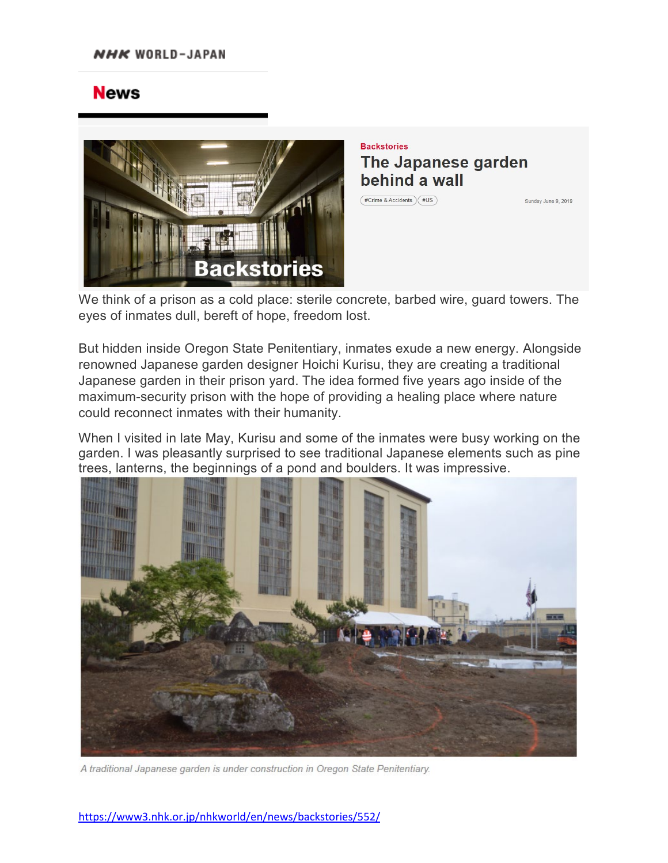## **News**



**Backstories** The Japanese garden behind a wall

 $(FC$ rime & Accidents  $F(E)$ 

Sunday June 9, 2019

We think of a prison as a cold place: sterile concrete, barbed wire, guard towers. The eyes of inmates dull, bereft of hope, freedom lost.

But hidden inside Oregon State Penitentiary, inmates exude a new energy. Alongside renowned Japanese garden designer Hoichi Kurisu, they are creating a traditional Japanese garden in their prison yard. The idea formed five years ago inside of the maximum-security prison with the hope of providing a healing place where nature could reconnect inmates with their humanity.

When I visited in late May, Kurisu and some of the inmates were busy working on the garden. I was pleasantly surprised to see traditional Japanese elements such as pine trees, lanterns, the beginnings of a pond and boulders. It was impressive.



A traditional Japanese garden is under construction in Oregon State Penitentiary.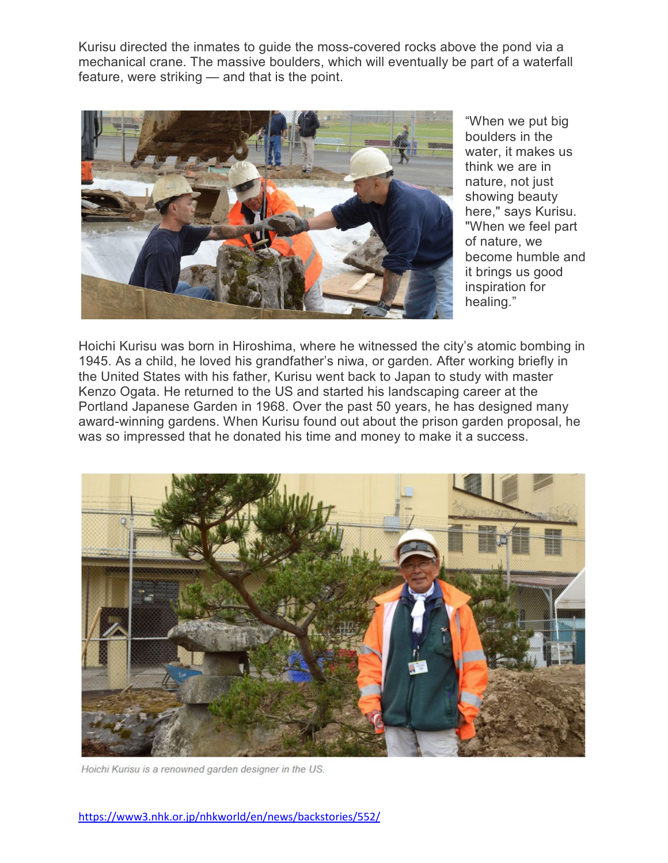Kurisu directed the inmates to guide the moss-covered rocks above the pond via a mechanical crane. The massive boulders, which will eventually be part of a waterfall feature, were striking — and that is the point.



"When we put big boulders in the water, it makes us think we are in nature, not just showing beauty here," says Kurisu. "When we feel part of nature, we become humble and it brings us good inspiration for healing."

Hoichi Kurisu was born in Hiroshima, where he witnessed the city's atomic bombing in 1945. As a child, he loved his grandfather's niwa, or garden. After working briefly in the United States with his father, Kurisu went back to Japan to study with master Kenzo Ogata. He returned to the US and started his landscaping career at the Portland Japanese Garden in 1968. Over the past 50 years, he has designed many award-winning gardens. When Kurisu found out about the prison garden proposal, he was so impressed that he donated his time and money to make it a success.



Hoichi Kurisu is a renowned garden designer in the US.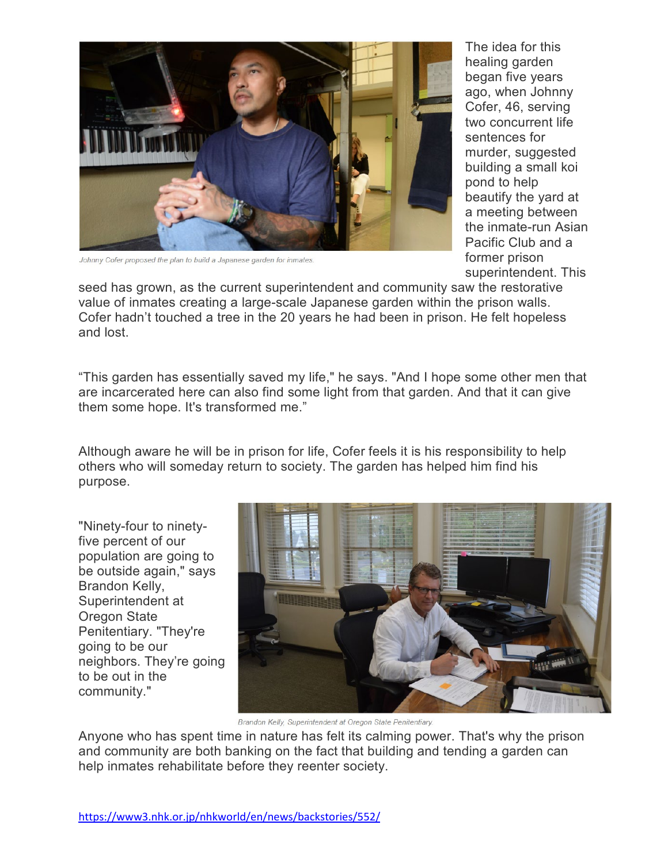

Johnny Cofer proposed the plan to build a Japanese garden for inmates.

The idea for this healing garden began five years ago, when Johnny Cofer, 46, serving two concurrent life sentences for murder, suggested building a small koi pond to help beautify the yard at a meeting between the inmate-run Asian Pacific Club and a former prison superintendent. This

seed has grown, as the current superintendent and community saw the restorative value of inmates creating a large-scale Japanese garden within the prison walls. Cofer hadn't touched a tree in the 20 years he had been in prison. He felt hopeless and lost.

"This garden has essentially saved my life," he says. "And I hope some other men that are incarcerated here can also find some light from that garden. And that it can give them some hope. It's transformed me."

Although aware he will be in prison for life, Cofer feels it is his responsibility to help others who will someday return to society. The garden has helped him find his purpose.

"Ninety-four to ninetyfive percent of our population are going to be outside again," says Brandon Kelly, Superintendent at Oregon State Penitentiary. "They're going to be our neighbors. They're going to be out in the community."



Brandon Kelly, Superintendent at Oregon State Penitentiary.

Anyone who has spent time in nature has felt its calming power. That's why the prison and community are both banking on the fact that building and tending a garden can help inmates rehabilitate before they reenter society.